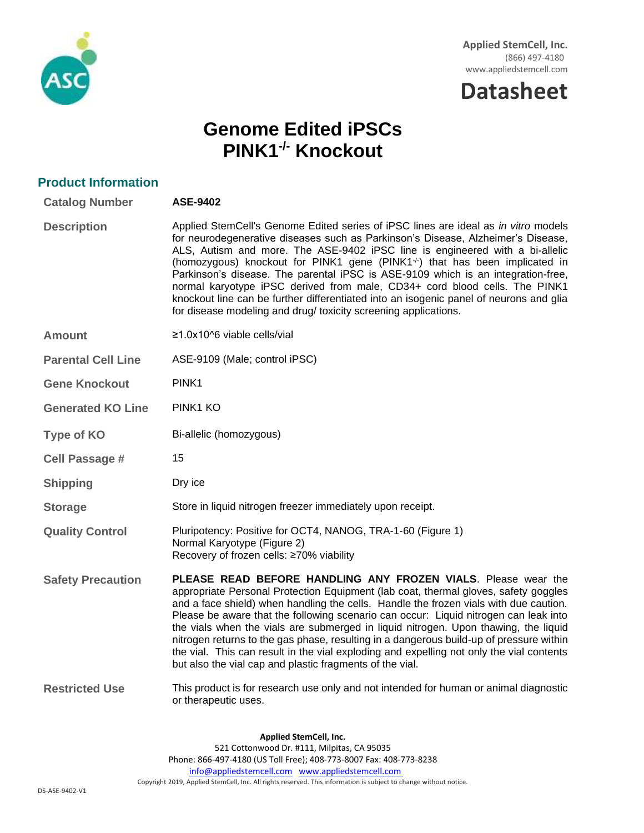

# **Datasheet**

## **Genome Edited iPSCs PINK1-/- Knockout**

| <b>Product Information</b> |                                                                                                                                                                                                                                                                                                                                                                                                                                                                                                                                                                                                                                                                                   |
|----------------------------|-----------------------------------------------------------------------------------------------------------------------------------------------------------------------------------------------------------------------------------------------------------------------------------------------------------------------------------------------------------------------------------------------------------------------------------------------------------------------------------------------------------------------------------------------------------------------------------------------------------------------------------------------------------------------------------|
| <b>Catalog Number</b>      | ASE-9402                                                                                                                                                                                                                                                                                                                                                                                                                                                                                                                                                                                                                                                                          |
| <b>Description</b>         | Applied StemCell's Genome Edited series of iPSC lines are ideal as in vitro models<br>for neurodegenerative diseases such as Parkinson's Disease, Alzheimer's Disease,<br>ALS, Autism and more. The ASE-9402 iPSC line is engineered with a bi-allelic<br>(homozygous) knockout for PINK1 gene (PINK1 <sup>-/-</sup> ) that has been implicated in<br>Parkinson's disease. The parental iPSC is ASE-9109 which is an integration-free,<br>normal karyotype iPSC derived from male, CD34+ cord blood cells. The PINK1<br>knockout line can be further differentiated into an isogenic panel of neurons and glia<br>for disease modeling and drug/ toxicity screening applications. |
| <b>Amount</b>              | $\geq$ 1.0x10^6 viable cells/vial                                                                                                                                                                                                                                                                                                                                                                                                                                                                                                                                                                                                                                                 |
| <b>Parental Cell Line</b>  | ASE-9109 (Male; control iPSC)                                                                                                                                                                                                                                                                                                                                                                                                                                                                                                                                                                                                                                                     |
| <b>Gene Knockout</b>       | PINK <sub>1</sub>                                                                                                                                                                                                                                                                                                                                                                                                                                                                                                                                                                                                                                                                 |
| <b>Generated KO Line</b>   | PINK1 KO                                                                                                                                                                                                                                                                                                                                                                                                                                                                                                                                                                                                                                                                          |
| <b>Type of KO</b>          | Bi-allelic (homozygous)                                                                                                                                                                                                                                                                                                                                                                                                                                                                                                                                                                                                                                                           |
| <b>Cell Passage #</b>      | 15                                                                                                                                                                                                                                                                                                                                                                                                                                                                                                                                                                                                                                                                                |
| <b>Shipping</b>            | Dry ice                                                                                                                                                                                                                                                                                                                                                                                                                                                                                                                                                                                                                                                                           |
| <b>Storage</b>             | Store in liquid nitrogen freezer immediately upon receipt.                                                                                                                                                                                                                                                                                                                                                                                                                                                                                                                                                                                                                        |
| <b>Quality Control</b>     | Pluripotency: Positive for OCT4, NANOG, TRA-1-60 (Figure 1)<br>Normal Karyotype (Figure 2)<br>Recovery of frozen cells: ≥70% viability                                                                                                                                                                                                                                                                                                                                                                                                                                                                                                                                            |
| <b>Safety Precaution</b>   | PLEASE READ BEFORE HANDLING ANY FROZEN VIALS. Please wear the<br>appropriate Personal Protection Equipment (lab coat, thermal gloves, safety goggles<br>and a face shield) when handling the cells. Handle the frozen vials with due caution.<br>Please be aware that the following scenario can occur: Liquid nitrogen can leak into<br>the vials when the vials are submerged in liquid nitrogen. Upon thawing, the liquid<br>nitrogen returns to the gas phase, resulting in a dangerous build-up of pressure within<br>the vial. This can result in the vial exploding and expelling not only the vial contents<br>but also the vial cap and plastic fragments of the vial.   |
| <b>Restricted Use</b>      | This product is for research use only and not intended for human or animal diagnostic<br>or therapeutic uses.                                                                                                                                                                                                                                                                                                                                                                                                                                                                                                                                                                     |
|                            |                                                                                                                                                                                                                                                                                                                                                                                                                                                                                                                                                                                                                                                                                   |

**Applied StemCell, Inc.** 521 Cottonwood Dr. #111, Milpitas, CA 95035 Phone: 866-497-4180 (US Toll Free); 408-773-8007 Fax: 408-773-8238 [info@appliedstemcell.com](mailto:info@appliedstemcell.com) [www.appliedstemcell.com](http://www.appliedstemcell.com/) Copyright 2019, Applied StemCell, Inc. All rights reserved. This information is subject to change without notice.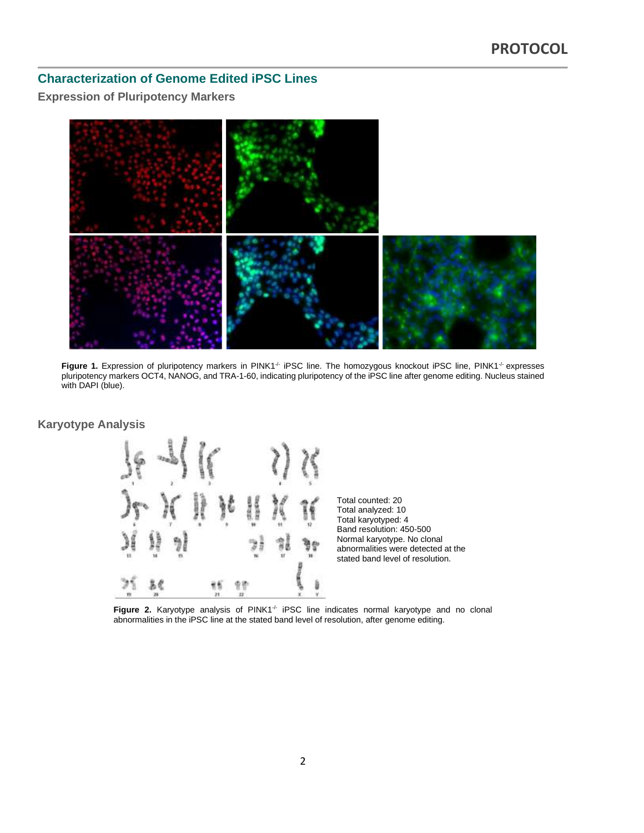## **Characterization of Genome Edited iPSC Lines**

## **Expression of Pluripotency Markers**



Figure 1. Expression of pluripotency markers in PINK1<sup>-/-</sup> iPSC line. The homozygous knockout iPSC line, PINK1<sup>-/-</sup> expresses pluripotency markers OCT4, NANOG, and TRA-1-60, indicating pluripotency of the iPSC line after genome editing. Nucleus stained with DAPI (blue).

#### **Karyotype Analysis**





Figure 2. Karyotype analysis of PINK1<sup>-/-</sup> iPSC line indicates normal karyotype and no clonal abnormalities in the iPSC line at the stated band level of resolution, after genome editing.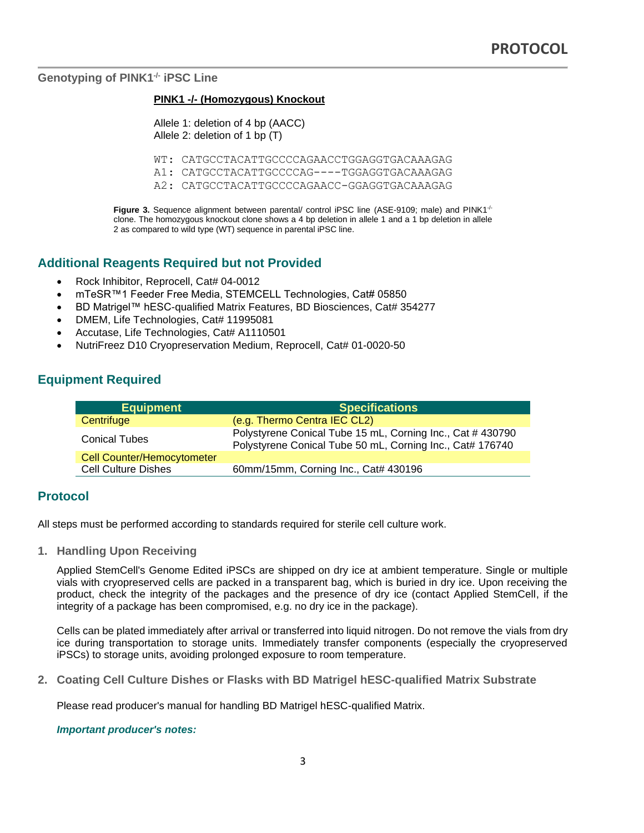**Genotyping of PINK1-/- iPSC Line**

#### **PINK1 -/- (Homozygous) Knockout**

Allele 1: deletion of 4 bp (AACC) Allele 2: deletion of 1 bp (T)

WT: CATGCCTACATTGCCCCAGAACCTGGAGGTGACAAAGAG

A1: CATGCCTACATTGCCCCAG----TGGAGGTGACAAAGAG

A2: CATGCCTACATTGCCCCAGAACC-GGAGGTGACAAAGAG

**Figure 3.** Sequence alignment between parental/ control iPSC line (ASE-9109; male) and PINK1<sup>-/-</sup> clone. The homozygous knockout clone shows a 4 bp deletion in allele 1 and a 1 bp deletion in allele 2 as compared to wild type (WT) sequence in parental iPSC line.

## **Additional Reagents Required but not Provided**

- Rock Inhibitor, Reprocell, Cat# 04-0012
- mTeSR™1 Feeder Free Media, STEMCELL Technologies, Cat# 05850
- BD Matrigel™ hESC-qualified Matrix Features, BD Biosciences, Cat# 354277
- DMEM, Life Technologies, Cat# 11995081
- Accutase, Life Technologies, Cat# A1110501
- NutriFreez D10 Cryopreservation Medium, Reprocell, Cat# 01-0020-50

## **Equipment Required**

| <b>Equipment</b>                  | <b>Specifications</b>                                                                                                   |  |
|-----------------------------------|-------------------------------------------------------------------------------------------------------------------------|--|
| Centrifuge                        | (e.g. Thermo Centra IEC CL2)                                                                                            |  |
| <b>Conical Tubes</b>              | Polystyrene Conical Tube 15 mL, Corning Inc., Cat # 430790<br>Polystyrene Conical Tube 50 mL, Corning Inc., Cat# 176740 |  |
| <b>Cell Counter/Hemocytometer</b> |                                                                                                                         |  |
| <b>Cell Culture Dishes</b>        | 60mm/15mm, Corning Inc., Cat# 430196                                                                                    |  |

#### **Protocol**

All steps must be performed according to standards required for sterile cell culture work.

**1. Handling Upon Receiving**

Applied StemCell's Genome Edited iPSCs are shipped on dry ice at ambient temperature. Single or multiple vials with cryopreserved cells are packed in a transparent bag, which is buried in dry ice. Upon receiving the product, check the integrity of the packages and the presence of dry ice (contact Applied StemCell, if the integrity of a package has been compromised, e.g. no dry ice in the package).

Cells can be plated immediately after arrival or transferred into liquid nitrogen. Do not remove the vials from dry ice during transportation to storage units. Immediately transfer components (especially the cryopreserved iPSCs) to storage units, avoiding prolonged exposure to room temperature.

**2. Coating Cell Culture Dishes or Flasks with BD Matrigel hESC-qualified Matrix Substrate**

Please read producer's manual for handling BD Matrigel hESC-qualified Matrix.

*Important producer's notes:*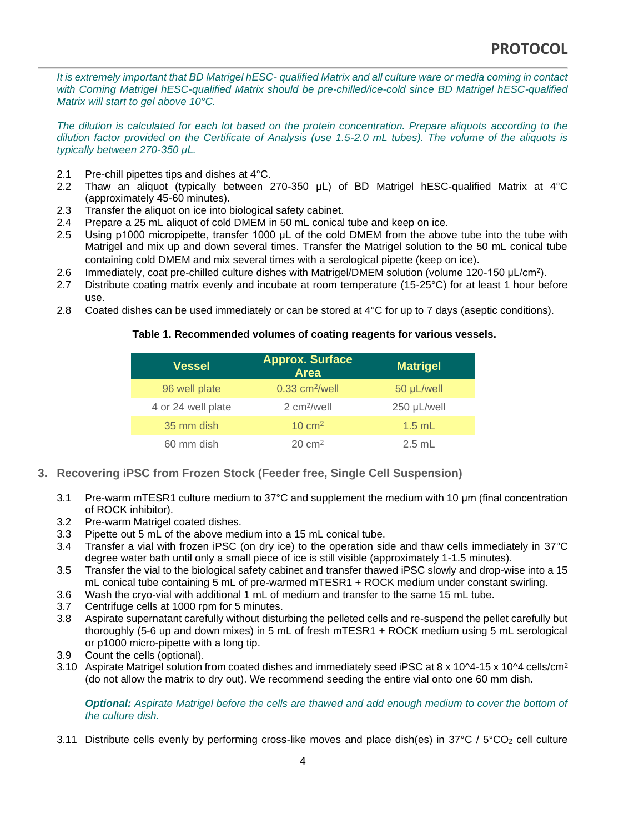*It is extremely important that BD Matrigel hESC- qualified Matrix and all culture ware or media coming in contact*  with Corning Matrigel hESC-qualified Matrix should be pre-chilled/ice-cold since BD Matrigel hESC-qualified *Matrix will start to gel above 10°C.*

*The dilution is calculated for each lot based on the protein concentration. Prepare aliquots according to the dilution factor provided on the Certificate of Analysis (use 1.5-2.0 mL tubes). The volume of the aliquots is typically between 270-350 μL.*

- 2.1 Pre-chill pipettes tips and dishes at 4°C.
- 2.2 Thaw an aliquot (typically between 270-350 μL) of BD Matrigel hESC-qualified Matrix at 4°C (approximately 45-60 minutes).
- 2.3 Transfer the aliquot on ice into biological safety cabinet.
- 2.4 Prepare a 25 mL aliquot of cold DMEM in 50 mL conical tube and keep on ice.
- 2.5 Using p1000 micropipette, transfer 1000 μL of the cold DMEM from the above tube into the tube with Matrigel and mix up and down several times. Transfer the Matrigel solution to the 50 mL conical tube containing cold DMEM and mix several times with a serological pipette (keep on ice).
- 2.6 Immediately, coat pre-chilled culture dishes with Matrigel/DMEM solution (volume 120-150 μL/cm<sup>2</sup> ).
- 2.7 Distribute coating matrix evenly and incubate at room temperature (15-25°C) for at least 1 hour before use.
- 2.8 Coated dishes can be used immediately or can be stored at 4°C for up to 7 days (aseptic conditions).

#### **Table 1. Recommended volumes of coating reagents for various vessels.**

| <b>Vessel</b>      | <b>Approx. Surface</b><br><b>Area</b> | <b>Matrigel</b> |
|--------------------|---------------------------------------|-----------------|
| 96 well plate      | $0.33$ cm <sup>2</sup> /well          | 50 µL/well      |
| 4 or 24 well plate | 2 cm <sup>2</sup> /well               | 250 µL/well     |
| 35 mm dish         | $10 \text{ cm}^2$                     | $1.5$ mL        |
| 60 mm dish         | $20 \text{ cm}^2$                     | $2.5$ mL        |

- **3. Recovering iPSC from Frozen Stock (Feeder free, Single Cell Suspension)**
	- 3.1 Pre-warm mTESR1 culture medium to 37°C and supplement the medium with 10 μm (final concentration of ROCK inhibitor).
	- 3.2 Pre-warm Matrigel coated dishes.
	- 3.3 Pipette out 5 mL of the above medium into a 15 mL conical tube.
	- 3.4 Transfer a vial with frozen iPSC (on dry ice) to the operation side and thaw cells immediately in 37°C degree water bath until only a small piece of ice is still visible (approximately 1-1.5 minutes).
	- 3.5 Transfer the vial to the biological safety cabinet and transfer thawed iPSC slowly and drop-wise into a 15 mL conical tube containing 5 mL of pre-warmed mTESR1 + ROCK medium under constant swirling.
	- 3.6 Wash the cryo-vial with additional 1 mL of medium and transfer to the same 15 mL tube.
	- 3.7 Centrifuge cells at 1000 rpm for 5 minutes.
	- 3.8 Aspirate supernatant carefully without disturbing the pelleted cells and re-suspend the pellet carefully but thoroughly (5-6 up and down mixes) in 5 mL of fresh mTESR1 + ROCK medium using 5 mL serological or p1000 micro-pipette with a long tip.
	- 3.9 Count the cells (optional).
	- 3.10 Aspirate Matrigel solution from coated dishes and immediately seed iPSC at 8 x 10^4-15 x 10^4 cells/cm<sup>2</sup> (do not allow the matrix to dry out). We recommend seeding the entire vial onto one 60 mm dish.

#### *Optional: Aspirate Matrigel before the cells are thawed and add enough medium to cover the bottom of the culture dish.*

3.11 Distribute cells evenly by performing cross-like moves and place dish(es) in 37°C / 5°CO<sup>2</sup> cell culture